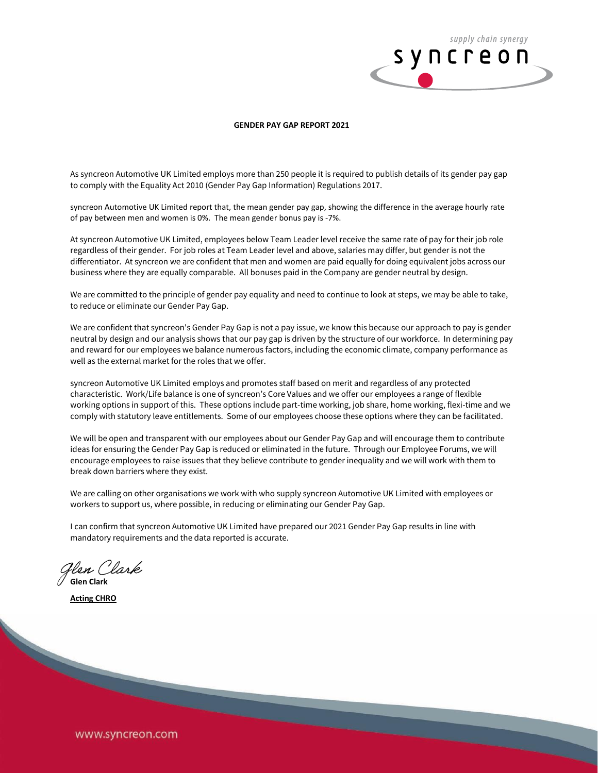

## **GENDER PAY GAP REPORT 2021**

As syncreon Automotive UK Limited employs more than 250 people it is required to publish details of its gender pay gap to comply with the Equality Act 2010 (Gender Pay Gap Information) Regulations 2017.

syncreon Automotive UK Limited report that, the mean gender pay gap, showing the difference in the average hourly rate of pay between men and women is 0%. The mean gender bonus pay is -7%.

At syncreon Automotive UK Limited, employees below Team Leader level receive the same rate of pay for their job role regardless of their gender. For job roles at Team Leader level and above, salaries may differ, but gender is not the differentiator. At syncreon we are confident that men and women are paid equally for doing equivalent jobs across our business where they are equally comparable. All bonuses paid in the Company are gender neutral by design.

We are committed to the principle of gender pay equality and need to continue to look at steps, we may be able to take, to reduce or eliminate our Gender Pay Gap.

We are confident that syncreon's Gender Pay Gap is not a pay issue, we know this because our approach to pay is gender neutral by design and our analysis shows that our pay gap is driven by the structure of our workforce. In determining pay and reward for our employees we balance numerous factors, including the economic climate, company performance as well as the external market for the roles that we offer.

syncreon Automotive UK Limited employs and promotes staff based on merit and regardless of any protected characteristic. Work/Life balance is one of syncreon's Core Values and we offer our employees a range of flexible working options in support of this. These options include part-time working, job share, home working, flexi-time and we comply with statutory leave entitlements. Some of our employees choose these options where they can be facilitated.

We will be open and transparent with our employees about our Gender Pay Gap and will encourage them to contribute ideas for ensuring the Gender Pay Gap is reduced or eliminated in the future. Through our Employee Forums, we will encourage employees to raise issues that they believe contribute to gender inequality and we will work with them to break down barriers where they exist.

We are calling on other organisations we work with who supply syncreon Automotive UK Limited with employees or workers to support us, where possible, in reducing or eliminating our Gender Pay Gap.

I can confirm that syncreon Automotive UK Limited have prepared our 2021 Gender Pay Gap results in line with mandatory requirements and the data reported is accurate.

**Glen Clark**

**Acting CHRO**